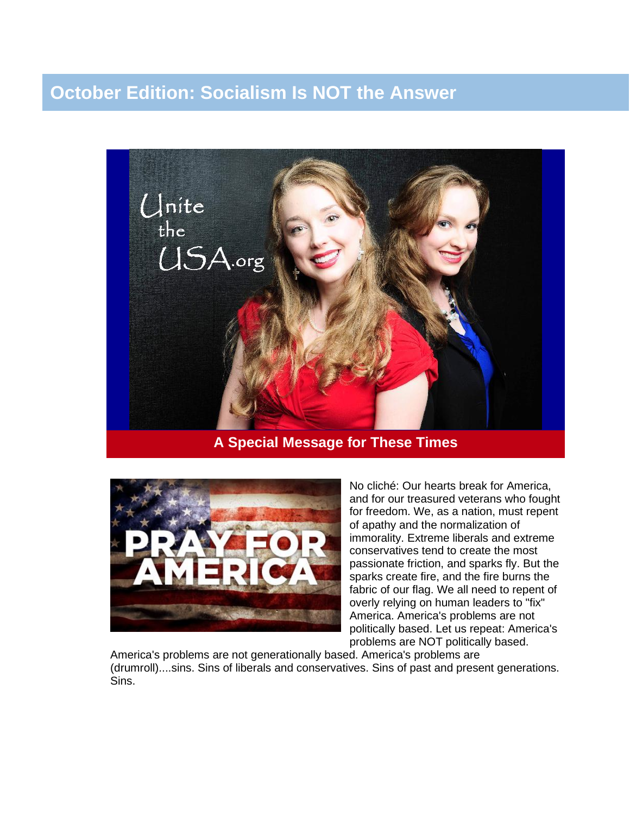## **October Edition: Socialism Is NOT the Answer**



## **A Special Message for These Times**



No cliché: Our hearts break for America, and for our treasured veterans who fought for freedom. We, as a nation, must repent of apathy and the normalization of immorality. Extreme liberals and extreme conservatives tend to create the most passionate friction, and sparks fly. But the sparks create fire, and the fire burns the fabric of our flag. We all need to repent of overly relying on human leaders to "fix" America. America's problems are not politically based. Let us repeat: America's problems are NOT politically based.

America's problems are not generationally based. America's problems are (drumroll)....sins. Sins of liberals and conservatives. Sins of past and present generations. Sins.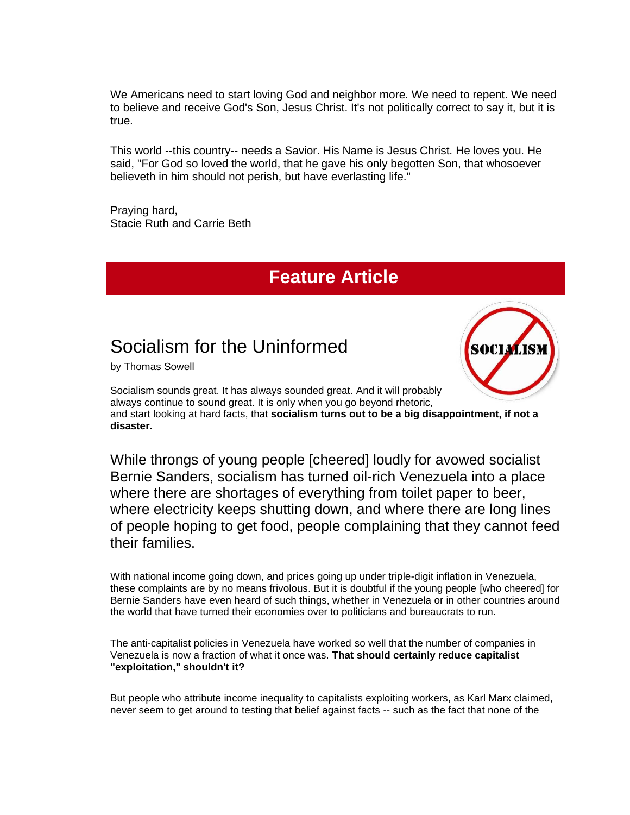We Americans need to start loving God and neighbor more. We need to repent. We need to believe and receive God's Son, Jesus Christ. It's not politically correct to say it, but it is true.

This world --this country-- needs a Savior. His Name is Jesus Christ. He loves you. He said, "For God so loved the world, that he gave his only begotten Son, that whosoever believeth in him should not perish, but have everlasting life."

Praying hard, Stacie Ruth and Carrie Beth

# **Feature Article**

# Socialism for the Uninformed

by Thomas Sowell



Socialism sounds great. It has always sounded great. And it will probably always continue to sound great. It is only when you go beyond rhetoric, and start looking at hard facts, that **socialism turns out to be a big disappointment, if not a disaster.**

While throngs of young people [cheered] loudly for avowed socialist Bernie Sanders, socialism has turned oil-rich Venezuela into a place where there are shortages of everything from toilet paper to beer, where electricity keeps shutting down, and where there are long lines of people hoping to get food, people complaining that they cannot feed their families.

With national income going down, and prices going up under triple-digit inflation in Venezuela, these complaints are by no means frivolous. But it is doubtful if the young people [who cheered] for Bernie Sanders have even heard of such things, whether in Venezuela or in other countries around the world that have turned their economies over to politicians and bureaucrats to run.

The anti-capitalist policies in Venezuela have worked so well that the number of companies in Venezuela is now a fraction of what it once was. **That should certainly reduce capitalist "exploitation," shouldn't it?**

But people who attribute income inequality to capitalists exploiting workers, as Karl Marx claimed, never seem to get around to testing that belief against facts -- such as the fact that none of the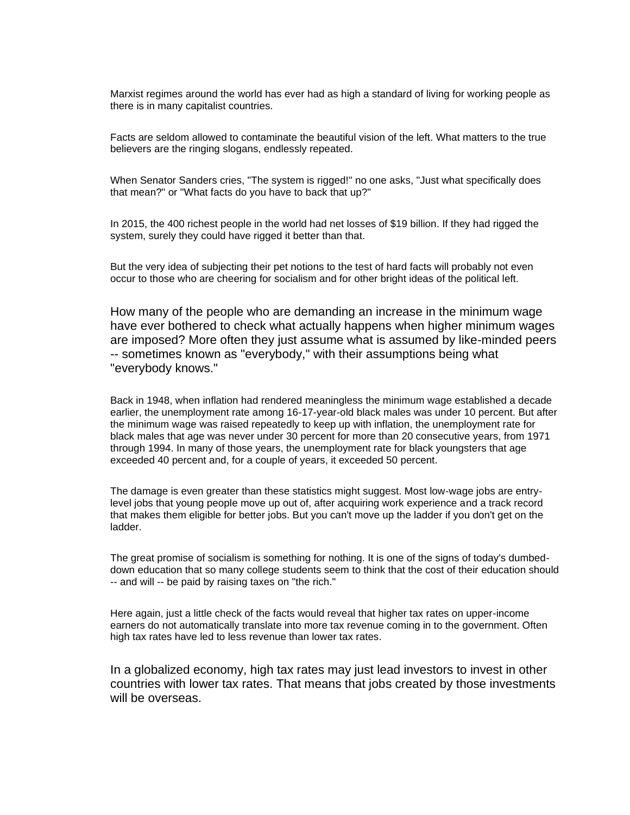Marxist regimes around the world has ever had as high a standard of living for working people as there is in many capitalist countries.

Facts are seldom allowed to contaminate the beautiful vision of the left. What matters to the true believers are the ringing slogans, endlessly repeated.

When Senator Sanders cries, "The system is rigged!" no one asks, "Just what specifically does that mean?" or "What facts do you have to back that up?"

In 2015, the 400 richest people in the world had net losses of \$19 billion. If they had rigged the system, surely they could have rigged it better than that.

But the very idea of subjecting their pet notions to the test of hard facts will probably not even occur to those who are cheering for socialism and for other bright ideas of the political left.

How many of the people who are demanding an increase in the minimum wage have ever bothered to check what actually happens when higher minimum wages are imposed? More often they just assume what is assumed by like-minded peers -- sometimes known as "everybody," with their assumptions being what "everybody knows."

Back in 1948, when inflation had rendered meaningless the minimum wage established a decade earlier, the unemployment rate among 16-17-year-old black males was under 10 percent. But after the minimum wage was raised repeatedly to keep up with inflation, the unemployment rate for black males that age was never under 30 percent for more than 20 consecutive years, from 1971 through 1994. In many of those years, the unemployment rate for black youngsters that age exceeded 40 percent and, for a couple of years, it exceeded 50 percent.

The damage is even greater than these statistics might suggest. Most low-wage jobs are entrylevel jobs that young people move up out of, after acquiring work experience and a track record that makes them eligible for better jobs. But you can't move up the ladder if you don't get on the ladder.

The great promise of socialism is something for nothing. It is one of the signs of today's dumbeddown education that so many college students seem to think that the cost of their education should -- and will -- be paid by raising taxes on "the rich."

Here again, just a little check of the facts would reveal that higher tax rates on upper-income earners do not automatically translate into more tax revenue coming in to the government. Often high tax rates have led to less revenue than lower tax rates.

In a globalized economy, high tax rates may just lead investors to invest in other countries with lower tax rates. That means that jobs created by those investments will be overseas.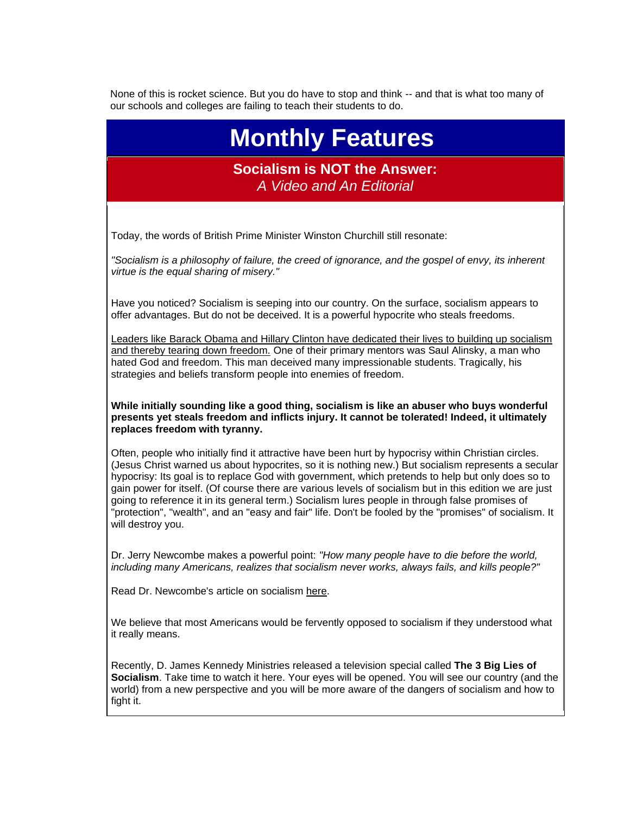None of this is rocket science. But you do have to stop and think -- and that is what too many of our schools and colleges are failing to teach their students to do.

# **Monthly Features**

#### **Socialism is NOT the Answer:** *A Video and An Editorial*

Today, the words of British Prime Minister Winston Churchill still resonate:

*"Socialism is a philosophy of failure, the creed of ignorance, and the gospel of envy, its inherent virtue is the equal sharing of misery."*

Have you noticed? Socialism is seeping into our country. On the surface, socialism appears to offer advantages. But do not be deceived. It is a powerful hypocrite who steals freedoms.

Leaders like Barack Obama and Hillary Clinton have dedicated their lives to building up socialism and thereby tearing down freedom. One of their primary mentors was Saul Alinsky, a man who hated God and freedom. This man deceived many impressionable students. Tragically, his strategies and beliefs transform people into enemies of freedom.

**While initially sounding like a good thing, socialism is like an abuser who buys wonderful presents yet steals freedom and inflicts injury. It cannot be tolerated! Indeed, it ultimately replaces freedom with tyranny.**

Often, people who initially find it attractive have been hurt by hypocrisy within Christian circles. (Jesus Christ warned us about hypocrites, so it is nothing new.) But socialism represents a secular hypocrisy: Its goal is to replace God with government, which pretends to help but only does so to gain power for itself. (Of course there are various levels of socialism but in this edition we are just going to reference it in its general term.) Socialism lures people in through false promises of "protection", "wealth", and an "easy and fair" life. Don't be fooled by the "promises" of socialism. It will destroy you.

Dr. Jerry Newcombe makes a powerful point: *"How many people have to die before the world, including many Americans, realizes that socialism never works, always fails, and kills people?"*

Read Dr. Newcombe's article on socialism [here.](http://r20.rs6.net/tn.jsp?t=xih4jcyab.0.0.4h4hhncab.0&id=preview&r=3&p=http%3A%2F%2Ftownhall.com%2Fcolumnists%2Fjerrynewcombe%2F2016%2F09%2F08%2Fhistory-repeats-itself-in-the-venezuela-tragedy-n2215472)

We believe that most Americans would be fervently opposed to socialism if they understood what it really means.

Recently, D. James Kennedy Ministries released a television special called **The 3 Big Lies of Socialism**. Take time to watch it here. Your eyes will be opened. You will see our country (and the world) from a new perspective and you will be more aware of the dangers of socialism and how to fight it.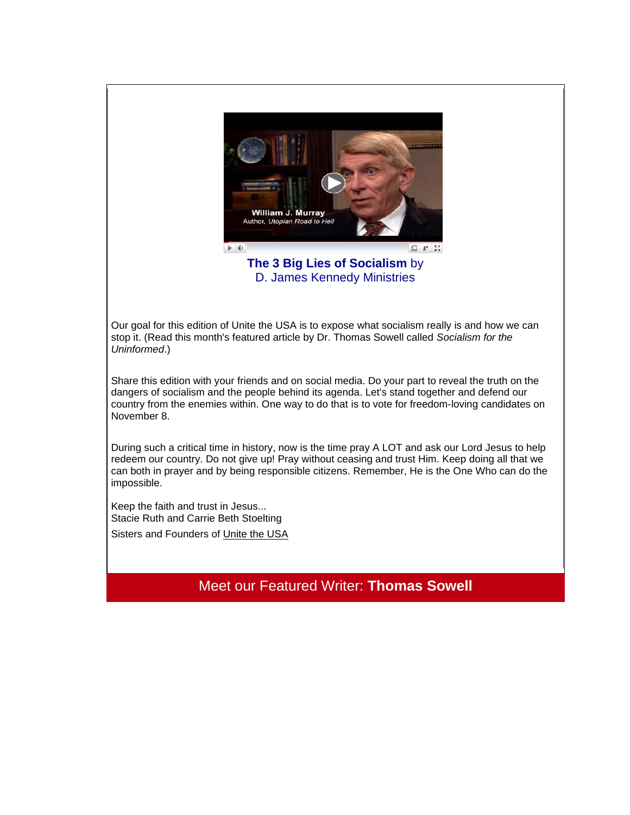

**The 3 Big Lies of Socialism** by D. James Kennedy Ministries

Our goal for this edition of Unite the USA is to expose what socialism really is and how we can stop it. (Read this month's featured article by Dr. Thomas Sowell called *Socialism for the Uninformed*.)

Share this edition with your friends and on social media. Do your part to reveal the truth on the dangers of socialism and the people behind its agenda. Let's stand together and defend our country from the enemies within. One way to do that is to vote for freedom-loving candidates on November 8.

During such a critical time in history, now is the time pray A LOT and ask our Lord Jesus to help redeem our country. Do not give up! Pray without ceasing and trust Him. Keep doing all that we can both in prayer and by being responsible citizens. Remember, He is the One Who can do the impossible.

Keep the faith and trust in Jesus... Stacie Ruth and Carrie Beth Stoelting

Sisters and Founders of [Unite the USA](http://unitetheusa.org/index.html)

Meet our Featured Writer: **Thomas Sowell**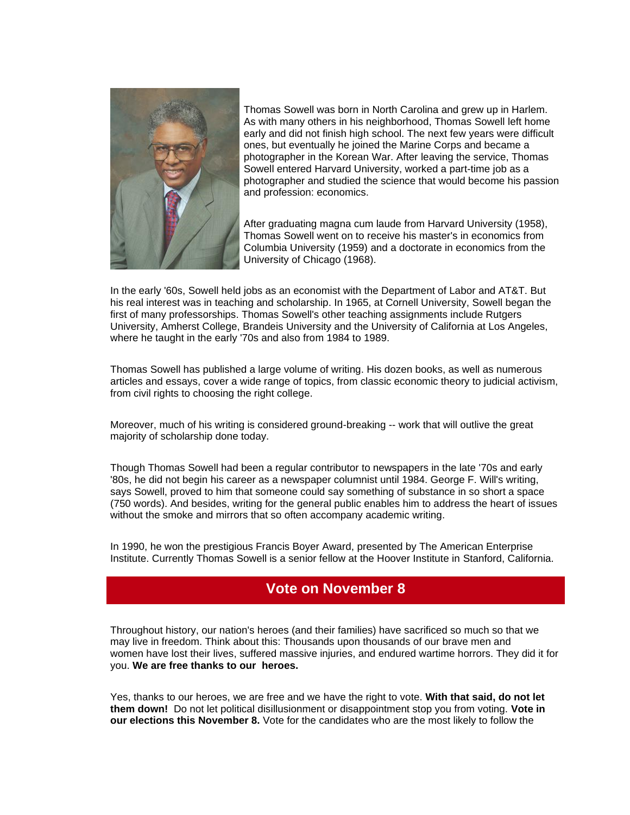

Thomas Sowell was born in North Carolina and grew up in Harlem. As with many others in his neighborhood, Thomas Sowell left home early and did not finish high school. The next few years were difficult ones, but eventually he joined the Marine Corps and became a photographer in the Korean War. After leaving the service, Thomas Sowell entered Harvard University, worked a part-time job as a photographer and studied the science that would become his passion and profession: economics.

After graduating magna cum laude from Harvard University (1958), Thomas Sowell went on to receive his master's in economics from Columbia University (1959) and a doctorate in economics from the University of Chicago (1968).

In the early '60s, Sowell held jobs as an economist with the Department of Labor and AT&T. But his real interest was in teaching and scholarship. In 1965, at Cornell University, Sowell began the first of many professorships. Thomas Sowell's other teaching assignments include Rutgers University, Amherst College, Brandeis University and the University of California at Los Angeles, where he taught in the early '70s and also from 1984 to 1989.

Thomas Sowell has published a large volume of writing. His dozen books, as well as numerous articles and essays, cover a wide range of topics, from classic economic theory to judicial activism, from civil rights to choosing the right college.

Moreover, much of his writing is considered ground-breaking -- work that will outlive the great majority of scholarship done today.

Though Thomas Sowell had been a regular contributor to newspapers in the late '70s and early '80s, he did not begin his career as a newspaper columnist until 1984. George F. Will's writing, says Sowell, proved to him that someone could say something of substance in so short a space (750 words). And besides, writing for the general public enables him to address the heart of issues without the smoke and mirrors that so often accompany academic writing.

In 1990, he won the prestigious Francis Boyer Award, presented by The American Enterprise Institute. Currently Thomas Sowell is a senior fellow at the Hoover Institute in Stanford, California.

## **Vote on November 8**

Throughout history, our nation's heroes (and their families) have sacrificed so much so that we may live in freedom. Think about this: Thousands upon thousands of our brave men and women have lost their lives, suffered massive injuries, and endured wartime horrors. They did it for you. **We are free thanks to our heroes.**

Yes, thanks to our heroes, we are free and we have the right to vote. **With that said, do not let them down!** Do not let political disillusionment or disappointment stop you from voting. **Vote in our elections this November 8.** Vote for the candidates who are the most likely to follow the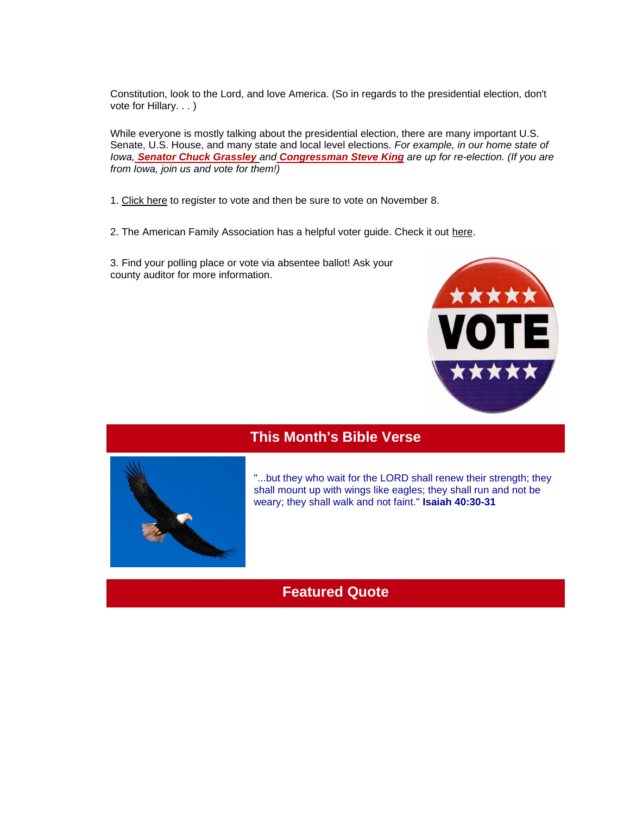Constitution, look to the Lord, and love America. (So in regards to the presidential election, don't vote for Hillary. . . )

While everyone is mostly talking about the presidential election, there are many important U.S. Senate, U.S. House, and many state and local level elections. *For example, in our home state of Iowa, Senator Chuck Grassley and Congressman Steve King are up for re-election. (If you are from Iowa, join us and vote for them!)*

1. [Click here](https://www.usa.gov/voter-registration-deadlines) to register to vote and then be sure to vote on November 8.

2. The American Family Association has a helpful voter guide. Check it out [here.](http://afaaction.net/voter-tools/voter-guide/)

3. Find your polling place or vote via absentee ballot! Ask your county auditor for more information.



## **This Month's Bible Verse**



"...but they who wait for the LORD shall renew their strength; they shall mount up with wings like eagles; they shall run and not be weary; they shall walk and not faint." **Isaiah 40:30-31**

## **Featured Quote**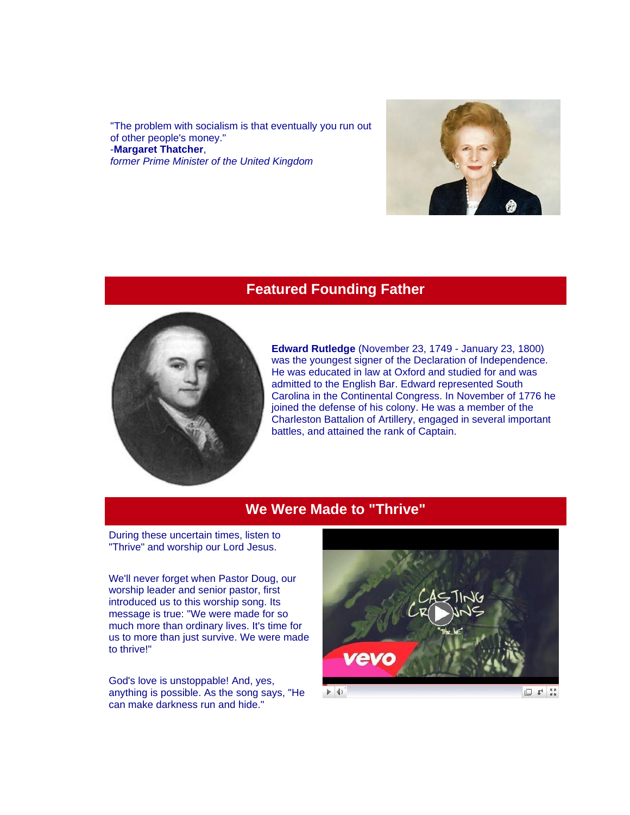"The problem with socialism is that eventually you run out of other people's money." -**Margaret Thatcher**, *former Prime Minister of the United Kingdom*



#### **Featured Founding Father**



**Edward Rutledge** (November 23, 1749 - January 23, 1800) was the youngest signer of the Declaration of Independence. He was educated in law at Oxford and studied for and was admitted to the English Bar. Edward represented South Carolina in the Continental Congress. In November of 1776 he joined the defense of his colony. He was a member of the Charleston Battalion of Artillery, engaged in several important battles, and attained the rank of Captain.

## **We Were Made to "Thrive"**

During these uncertain times, listen to "Thrive" and worship our Lord Jesus.

We'll never forget when Pastor Doug, our worship leader and senior pastor, first introduced us to this worship song. Its message is true: "We were made for so much more than ordinary lives. It's time for us to more than just survive. We were made to thrive!"

God's love is unstoppable! And, yes, anything is possible. As the song says, "He can make darkness run and hide."

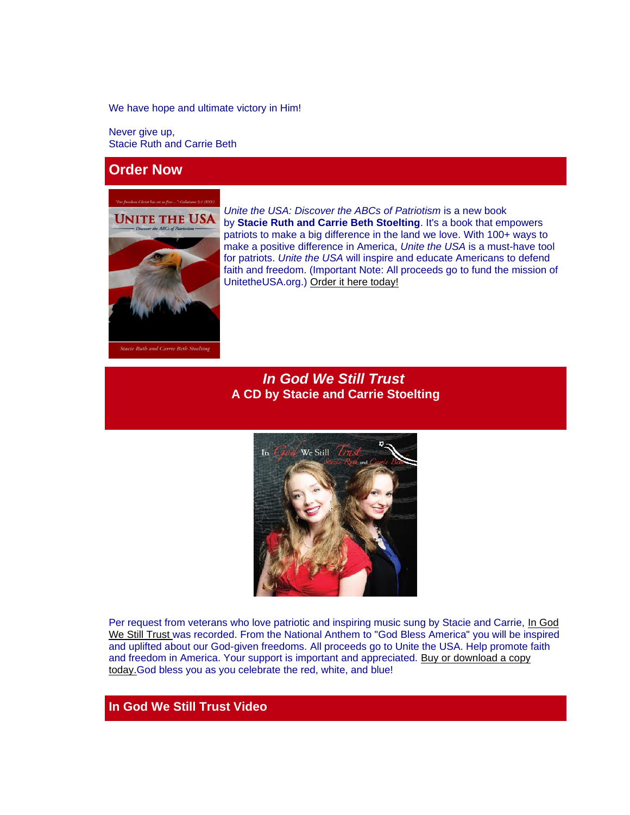We have hope and ultimate victory in Him!

Never give up, Stacie Ruth and Carrie Beth

#### **Order Now**



*Unite the USA: Discover the ABCs of Patriotism* is a new book by **Stacie Ruth and Carrie Beth Stoelting**. It's a book that empowers patriots to make a big difference in the land we love. With 100+ ways to make a positive difference in America, *Unite the USA* is a must-have tool for patriots. *Unite the USA* will inspire and educate Americans to defend faith and freedom. (Important Note: All proceeds go to fund the mission of UnitetheUSA.org.) [Order it here today!](http://r20.rs6.net/tn.jsp?t=xih4jcyab.0.0.4h4hhncab.0&id=preview&r=3&p=http%3A%2F%2Funitetheusa.org%2Fid56.html)

#### *In God We Still Trust* **A CD by Stacie and Carrie Stoelting**



Per request from veterans who love patriotic and inspiring music sung by Stacie and Carrie, [In God](http://unitetheusa.org/id56.html)  [We Still Trust](http://unitetheusa.org/id56.html) was recorded. From the National Anthem to "God Bless America" you will be inspired and uplifted about our God-given freedoms. All proceeds go to Unite the USA. Help promote faith and freedom in America. Your support is important and appreciated. [Buy or download a copy](http://r20.rs6.net/tn.jsp?t=xih4jcyab.0.0.4h4hhncab.0&id=preview&r=3&p=http%3A%2F%2Funitetheusa.org%2Fid56.html)  [today.G](http://r20.rs6.net/tn.jsp?t=xih4jcyab.0.0.4h4hhncab.0&id=preview&r=3&p=http%3A%2F%2Funitetheusa.org%2Fid56.html)od bless you as you celebrate the red, white, and blue!

#### **In God We Still Trust Video**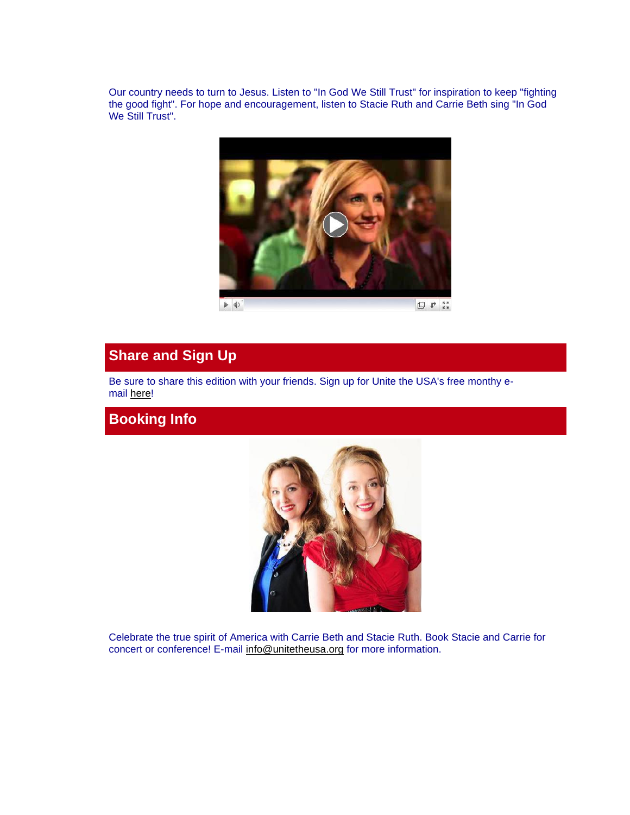Our country needs to turn to Jesus. Listen to "In God We Still Trust" for inspiration to keep "fighting the good fight". For hope and encouragement, listen to Stacie Ruth and Carrie Beth sing "In God We Still Trust".



## **Share and Sign Up**

Be sure to share this edition with your friends. Sign up for Unite the USA's free monthy email [here!](http://unitetheusa.org/id2.html)

## **Booking Info**



Celebrate the true spirit of America with Carrie Beth and Stacie Ruth. Book Stacie and Carrie for concert or conference! E-mail [info@unitetheusa.org](http://unitetheusa.org/id157.html) for more information.